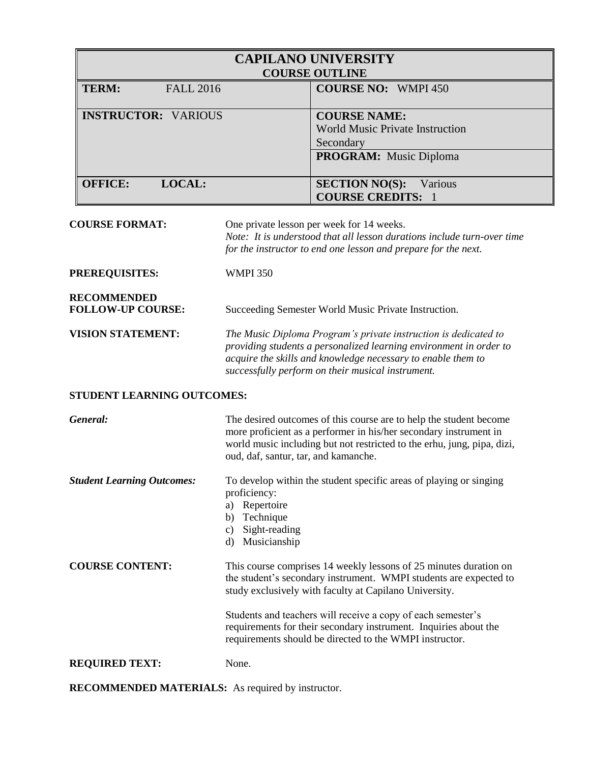| <b>CAPILANO UNIVERSITY</b><br><b>COURSE OUTLINE</b> |                                                                                                      |  |  |
|-----------------------------------------------------|------------------------------------------------------------------------------------------------------|--|--|
| <b>TERM:</b><br><b>FALL 2016</b>                    | <b>COURSE NO: WMPI 450</b>                                                                           |  |  |
| <b>INSTRUCTOR: VARIOUS</b>                          | <b>COURSE NAME:</b><br>World Music Private Instruction<br>Secondary<br><b>PROGRAM:</b> Music Diploma |  |  |
| <b>OFFICE:</b><br><b>LOCAL:</b>                     | <b>SECTION NO(S):</b><br>Various<br><b>COURSE CREDITS: 1</b>                                         |  |  |

**COURSE FORMAT:** One private lesson per week for 14 weeks. *Note: It is understood that all lesson durations include turn-over time* 

*for the instructor to end one lesson and prepare for the next.*

**PREREQUISITES:** WMPI 350

**RECOMMENDED**

FOLLOW-UP COURSE: Succeeding Semester World Music Private Instruction.

**VISION STATEMENT:** *The Music Diploma Program's private instruction is dedicated to providing students a personalized learning environment in order to acquire the skills and knowledge necessary to enable them to successfully perform on their musical instrument.* 

## **STUDENT LEARNING OUTCOMES:**

| General:                          | The desired outcomes of this course are to help the student become<br>more proficient as a performer in his/her secondary instrument in<br>world music including but not restricted to the erhu, jung, pipa, dizi,<br>oud, daf, santur, tar, and kamanche.                                                                                                                                      |
|-----------------------------------|-------------------------------------------------------------------------------------------------------------------------------------------------------------------------------------------------------------------------------------------------------------------------------------------------------------------------------------------------------------------------------------------------|
| <b>Student Learning Outcomes:</b> | To develop within the student specific areas of playing or singing<br>proficiency:<br>Repertoire<br>a)<br>Technique<br>b)<br>Sight-reading<br>C)<br>Musicianship<br>d)                                                                                                                                                                                                                          |
| <b>COURSE CONTENT:</b>            | This course comprises 14 weekly lessons of 25 minutes duration on<br>the student's secondary instrument. WMPI students are expected to<br>study exclusively with faculty at Capilano University.<br>Students and teachers will receive a copy of each semester's<br>requirements for their secondary instrument. Inquiries about the<br>requirements should be directed to the WMPI instructor. |
| <b>REQUIRED TEXT:</b>             | None.                                                                                                                                                                                                                                                                                                                                                                                           |

**RECOMMENDED MATERIALS:** As required by instructor.